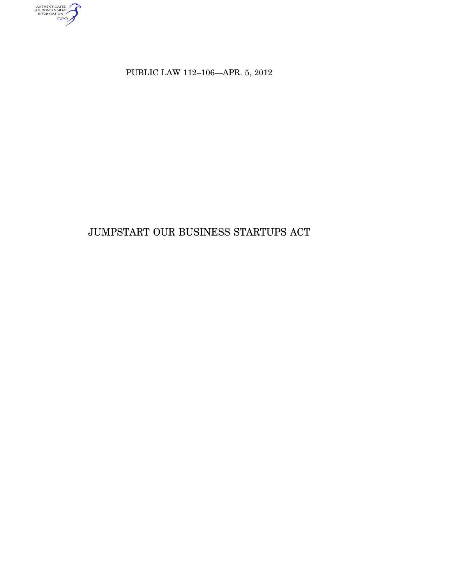AUTHENTICATED<br>U.S. GOVERNMENT<br>INFORMATION<br>GPO

PUBLIC LAW 112–106—APR. 5, 2012

# JUMPSTART OUR BUSINESS STARTUPS ACT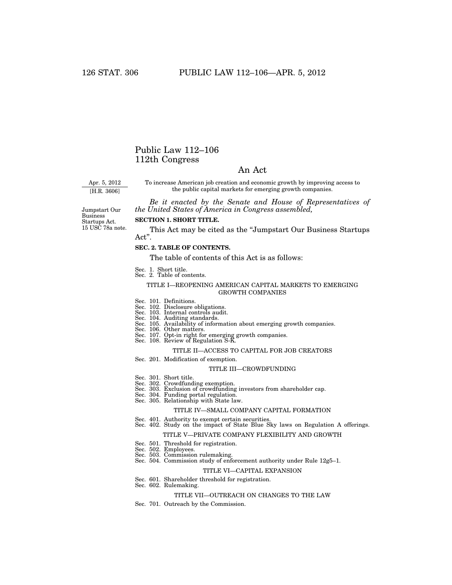### Public Law 112–106 112th Congress

### An Act

Apr. 5, 2012 [H.R. 3606]

To increase American job creation and economic growth by improving access to the public capital markets for emerging growth companies.

*Be it enacted by the Senate and House of Representatives of the United States of America in Congress assembled,* 

Jumpstart Our Business Startups Act. 15 USC 78a note.

### **SECTION 1. SHORT TITLE.**

This Act may be cited as the ''Jumpstart Our Business Startups Act''.

### **SEC. 2. TABLE OF CONTENTS.**

The table of contents of this Act is as follows:

- Sec. 1. Short title.
- Sec. 2. Table of contents.

### TITLE I—REOPENING AMERICAN CAPITAL MARKETS TO EMERGING GROWTH COMPANIES

- Sec. 101. Definitions.
- Sec. 102. Disclosure obligations.
- 
- 
- Sec. 103. Internal controls audit.<br>Sec. 104. Auditing standards.<br>Sec. 105. Availability of information about emerging growth companies.<br>Sec. 106. Other matters.<br>Sec. 107. Opt-in right for emerging growth companies.<br>Sec. 10
- 
- 
- 

#### TITLE II—ACCESS TO CAPITAL FOR JOB CREATORS

Sec. 201. Modification of exemption.

### TITLE III—CROWDFUNDING

- Sec. 301. Short title.
- Sec. 302. Crowdfunding exemption.
- Sec. 303. Exclusion of crowdfunding investors from shareholder cap. Sec. 304. Funding portal regulation.
- Sec. 305. Relationship with State law.

### TITLE IV—SMALL COMPANY CAPITAL FORMATION

Sec. 401. Authority to exempt certain securities.

### Sec. 402. Study on the impact of State Blue Sky laws on Regulation A offerings. TITLE V—PRIVATE COMPANY FLEXIBILITY AND GROWTH

- Sec. 501. Threshold for registration.
- 
- 
- Sec. 502. Employees. Sec. 503. Commission rulemaking. Sec. 504. Commission study of enforcement authority under Rule 12g5–1.

### TITLE VI—CAPITAL EXPANSION

- Sec. 601. Shareholder threshold for registration.
- Sec. 602. Rulemaking.

#### TITLE VII—OUTREACH ON CHANGES TO THE LAW

Sec. 701. Outreach by the Commission.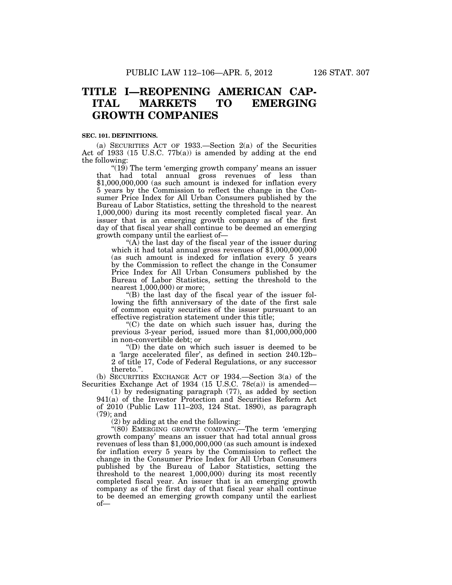# **TITLE I—REOPENING AMERICAN CAP-ITAL MARKETS TO EMERGING GROWTH COMPANIES**

#### **SEC. 101. DEFINITIONS.**

(a) SECURITIES ACT OF 1933.—Section 2(a) of the Securities Act of 1933 (15 U.S.C. 77b(a)) is amended by adding at the end the following:

 $^{\prime\prime}(19)$  The term 'emerging growth company' means an issuer that had total annual gross revenues of less than \$1,000,000,000 (as such amount is indexed for inflation every 5 years by the Commission to reflect the change in the Consumer Price Index for All Urban Consumers published by the Bureau of Labor Statistics, setting the threshold to the nearest 1,000,000) during its most recently completed fiscal year. An issuer that is an emerging growth company as of the first day of that fiscal year shall continue to be deemed an emerging growth company until the earliest of—

"(A) the last day of the fiscal year of the issuer during which it had total annual gross revenues of \$1,000,000,000 (as such amount is indexed for inflation every 5 years by the Commission to reflect the change in the Consumer Price Index for All Urban Consumers published by the Bureau of Labor Statistics, setting the threshold to the nearest 1,000,000) or more;

''(B) the last day of the fiscal year of the issuer following the fifth anniversary of the date of the first sale of common equity securities of the issuer pursuant to an effective registration statement under this title;

''(C) the date on which such issuer has, during the previous 3-year period, issued more than \$1,000,000,000 in non-convertible debt; or

''(D) the date on which such issuer is deemed to be a 'large accelerated filer', as defined in section 240.12b– 2 of title 17, Code of Federal Regulations, or any successor thereto."

(b) SECURITIES EXCHANGE ACT OF 1934.—Section 3(a) of the Securities Exchange Act of 1934 (15 U.S.C. 78c(a)) is amended—

(1) by redesignating paragraph (77), as added by section 941(a) of the Investor Protection and Securities Reform Act of 2010 (Public Law 111–203, 124 Stat. 1890), as paragraph (79); and

(2) by adding at the end the following:

"(80) EMERGING GROWTH COMPANY.—The term 'emerging growth company' means an issuer that had total annual gross revenues of less than \$1,000,000,000 (as such amount is indexed for inflation every 5 years by the Commission to reflect the change in the Consumer Price Index for All Urban Consumers published by the Bureau of Labor Statistics, setting the threshold to the nearest 1,000,000) during its most recently completed fiscal year. An issuer that is an emerging growth company as of the first day of that fiscal year shall continue to be deemed an emerging growth company until the earliest of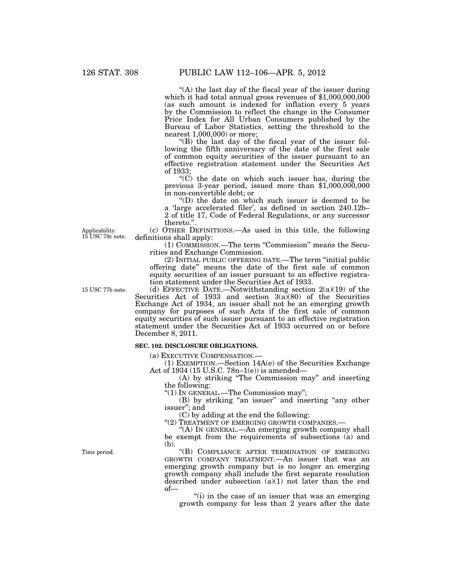''(A) the last day of the fiscal year of the issuer during which it had total annual gross revenues of \$1,000,000,000 (as such amount is indexed for inflation every 5 years by the Commission to reflect the change in the Consumer Price Index for All Urban Consumers published by the Bureau of Labor Statistics, setting the threshold to the nearest 1,000,000) or more;

''(B) the last day of the fiscal year of the issuer following the fifth anniversary of the date of the first sale of common equity securities of the issuer pursuant to an effective registration statement under the Securities Act of 1933;

" $(C)$  the date on which such issuer has, during the previous 3-year period, issued more than  $$1,000,000,000$ in non-convertible debt; or

 $\mathrm{H}(D)$  the date on which such issuer is deemed to be a 'large accelerated filer', as defined in section 240.12b– 2 of title 17, Code of Federal Regulations, or any successor thereto.''.

(c) OTHER DEFINITIONS.—As used in this title, the following definitions shall apply:

(1) COMMISSION.—The term ''Commission'' means the Securities and Exchange Commission.

(2) INITIAL PUBLIC OFFERING DATE.—The term ''initial public offering date'' means the date of the first sale of common equity securities of an issuer pursuant to an effective registration statement under the Securities Act of 1933.

15 USC 77b note.

(d) EFFECTIVE DATE.—Notwithstanding section  $2(a)(19)$  of the Securities Act of 1933 and section 3(a)(80) of the Securities Exchange Act of 1934, an issuer shall not be an emerging growth company for purposes of such Acts if the first sale of common equity securities of such issuer pursuant to an effective registration statement under the Securities Act of 1933 occurred on or before December 8, 2011.

### **SEC. 102. DISCLOSURE OBLIGATIONS.**

(a) EXECUTIVE COMPENSATION.—

(1) EXEMPTION.—Section 14A(e) of the Securities Exchange Act of 1934 (15 U.S.C. 78n–1(e)) is amended—

(A) by striking ''The Commission may'' and inserting the following:

''(1) IN GENERAL.—The Commission may'';

(B) by striking ''an issuer'' and inserting ''any other issuer''; and

(C) by adding at the end the following:

''(2) TREATMENT OF EMERGING GROWTH COMPANIES.—

"(A) In GENERAL.—An emerging growth company shall be exempt from the requirements of subsections (a) and (b).

''(B) COMPLIANCE AFTER TERMINATION OF EMERGING GROWTH COMPANY TREATMENT.—An issuer that was an emerging growth company but is no longer an emerging growth company shall include the first separate resolution described under subsection (a)(1) not later than the end of—

"(i) in the case of an issuer that was an emerging growth company for less than 2 years after the date

Time period.

Applicability. 15 USC 78c note.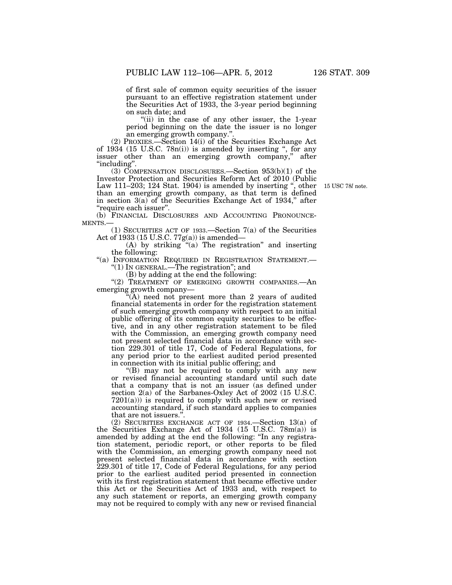of first sale of common equity securities of the issuer pursuant to an effective registration statement under the Securities Act of 1933, the 3-year period beginning on such date; and

"(ii) in the case of any other issuer, the 1-year period beginning on the date the issuer is no longer an emerging growth company."

(2) PROXIES.—Section 14(i) of the Securities Exchange Act of  $1934$  (15 U.S.C. 78n(i)) is amended by inserting ", for any issuer other than an emerging growth company," after "including".

(3) COMPENSATION DISCLOSURES.—Section 953(b)(1) of the Investor Protection and Securities Reform Act of 2010 (Public Law 111-203; 124 Stat. 1904) is amended by inserting " than an emerging growth company, as that term is defined in section  $3(a)$  of the Securities Exchange Act of 1934," after ''require each issuer''.

15 USC 78*l* note.

(b) FINANCIAL DISCLOSURES AND ACCOUNTING PRONOUNCE-MENTS.—

(1) SECURITIES ACT OF 1933.—Section 7(a) of the Securities Act of 1933 (15 U.S.C. 77g(a)) is amended—

(A) by striking  $(4)$  The registration" and inserting the following:

"(a) INFORMATION REQUIRED IN REGISTRATION STATEMENT.-" $(1)$  In GENERAL.—The registration"; and

(B) by adding at the end the following:

"(2) TREATMENT OF EMERGING GROWTH COMPANIES.- An emerging growth company—

 $(A)$  need not present more than 2 years of audited financial statements in order for the registration statement of such emerging growth company with respect to an initial public offering of its common equity securities to be effective, and in any other registration statement to be filed with the Commission, an emerging growth company need not present selected financial data in accordance with section 229.301 of title 17, Code of Federal Regulations, for any period prior to the earliest audited period presented in connection with its initial public offering; and

''(B) may not be required to comply with any new or revised financial accounting standard until such date that a company that is not an issuer (as defined under section 2(a) of the Sarbanes-Oxley Act of 2002 (15 U.S.C.  $7201(a)$ ) is required to comply with such new or revised accounting standard, if such standard applies to companies that are not issuers.''.

(2) SECURITIES EXCHANGE ACT OF 1934.—Section 13(a) of the Securities Exchange Act of 1934 (15 U.S.C. 78m(a)) is amended by adding at the end the following: "In any registration statement, periodic report, or other reports to be filed with the Commission, an emerging growth company need not present selected financial data in accordance with section 229.301 of title 17, Code of Federal Regulations, for any period prior to the earliest audited period presented in connection with its first registration statement that became effective under this Act or the Securities Act of 1933 and, with respect to any such statement or reports, an emerging growth company may not be required to comply with any new or revised financial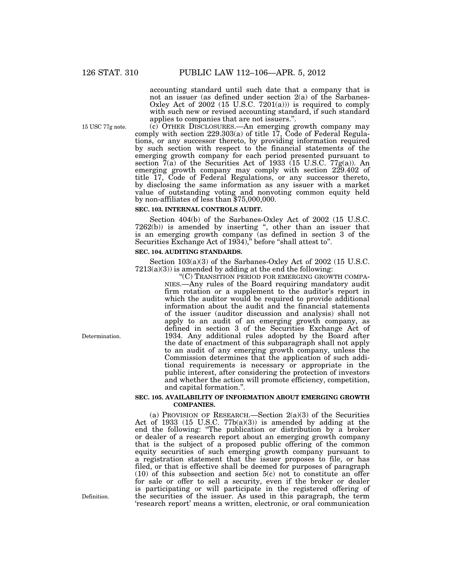accounting standard until such date that a company that is not an issuer (as defined under section 2(a) of the Sarbanes-Oxley Act of  $2002$  (15 U.S.C.  $7201(a)$ ) is required to comply with such new or revised accounting standard, if such standard applies to companies that are not issuers.''.

15 USC 77g note.

(c) OTHER DISCLOSURES.—An emerging growth company may comply with section 229.303(a) of title 17, Code of Federal Regulations, or any successor thereto, by providing information required by such section with respect to the financial statements of the emerging growth company for each period presented pursuant to section  $7(a)$  of the Securities Act of 1933 (15 U.S.C. 77 $g(a)$ ). An emerging growth company may comply with section 229.402 of title 17, Code of Federal Regulations, or any successor thereto, by disclosing the same information as any issuer with a market value of outstanding voting and nonvoting common equity held by non-affiliates of less than \$75,000,000.

### **SEC. 103. INTERNAL CONTROLS AUDIT.**

Section 404(b) of the Sarbanes-Oxley Act of 2002 (15 U.S.C. 7262(b)) is amended by inserting '', other than an issuer that is an emerging growth company (as defined in section 3 of the Securities Exchange Act of 1934)," before "shall attest to".

### **SEC. 104. AUDITING STANDARDS.**

Section  $103(a)(3)$  of the Sarbanes-Oxley Act of 2002 (15 U.S.C.  $7213(a)(3)$  is amended by adding at the end the following:

> ''(C) TRANSITION PERIOD FOR EMERGING GROWTH COMPA-NIES.—Any rules of the Board requiring mandatory audit firm rotation or a supplement to the auditor's report in which the auditor would be required to provide additional information about the audit and the financial statements of the issuer (auditor discussion and analysis) shall not apply to an audit of an emerging growth company, as defined in section 3 of the Securities Exchange Act of 1934. Any additional rules adopted by the Board after the date of enactment of this subparagraph shall not apply to an audit of any emerging growth company, unless the Commission determines that the application of such additional requirements is necessary or appropriate in the public interest, after considering the protection of investors and whether the action will promote efficiency, competition, and capital formation.''.

### **SEC. 105. AVAILABILITY OF INFORMATION ABOUT EMERGING GROWTH COMPANIES.**

(a) PROVISION OF RESEARCH.—Section  $2(a)(3)$  of the Securities Act of 1933 (15 U.S.C. 77b(a)(3)) is amended by adding at the end the following: ''The publication or distribution by a broker or dealer of a research report about an emerging growth company that is the subject of a proposed public offering of the common equity securities of such emerging growth company pursuant to a registration statement that the issuer proposes to file, or has filed, or that is effective shall be deemed for purposes of paragraph (10) of this subsection and section 5(c) not to constitute an offer for sale or offer to sell a security, even if the broker or dealer is participating or will participate in the registered offering of the securities of the issuer. As used in this paragraph, the term 'research report' means a written, electronic, or oral communication

Determination.

Definition.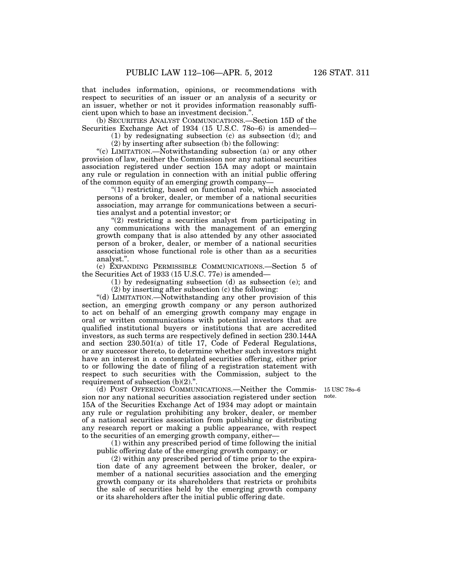that includes information, opinions, or recommendations with respect to securities of an issuer or an analysis of a security or an issuer, whether or not it provides information reasonably sufficient upon which to base an investment decision.''.

(b) SECURITIES ANALYST COMMUNICATIONS.—Section 15D of the Securities Exchange Act of 1934 (15 U.S.C. 78o–6) is amended—

(1) by redesignating subsection (c) as subsection (d); and

(2) by inserting after subsection (b) the following:

"(c) LIMITATION.—Notwithstanding subsection (a) or any other provision of law, neither the Commission nor any national securities association registered under section 15A may adopt or maintain any rule or regulation in connection with an initial public offering of the common equity of an emerging growth company—

''(1) restricting, based on functional role, which associated persons of a broker, dealer, or member of a national securities association, may arrange for communications between a securities analyst and a potential investor; or

 $(2)$  restricting a securities analyst from participating in any communications with the management of an emerging growth company that is also attended by any other associated person of a broker, dealer, or member of a national securities association whose functional role is other than as a securities analyst.''.

(c) EXPANDING PERMISSIBLE COMMUNICATIONS.—Section 5 of the Securities Act of 1933 (15 U.S.C. 77e) is amended—

(1) by redesignating subsection (d) as subsection (e); and

(2) by inserting after subsection (c) the following:

''(d) LIMITATION.—Notwithstanding any other provision of this section, an emerging growth company or any person authorized to act on behalf of an emerging growth company may engage in oral or written communications with potential investors that are qualified institutional buyers or institutions that are accredited investors, as such terms are respectively defined in section 230.144A and section 230.501(a) of title 17, Code of Federal Regulations, or any successor thereto, to determine whether such investors might have an interest in a contemplated securities offering, either prior to or following the date of filing of a registration statement with respect to such securities with the Commission, subject to the requirement of subsection (b)(2).''.

(d) POST OFFERING COMMUNICATIONS.—Neither the Commission nor any national securities association registered under section 15A of the Securities Exchange Act of 1934 may adopt or maintain any rule or regulation prohibiting any broker, dealer, or member of a national securities association from publishing or distributing any research report or making a public appearance, with respect to the securities of an emerging growth company, either—

(1) within any prescribed period of time following the initial public offering date of the emerging growth company; or

(2) within any prescribed period of time prior to the expiration date of any agreement between the broker, dealer, or member of a national securities association and the emerging growth company or its shareholders that restricts or prohibits the sale of securities held by the emerging growth company or its shareholders after the initial public offering date.

15 USC 78o–6 note.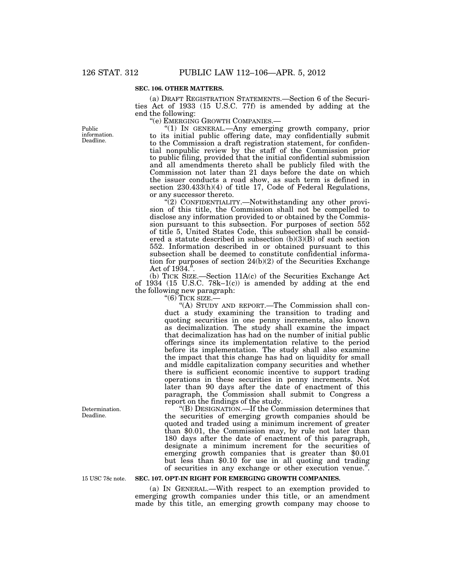Public information. Deadline.

### **SEC. 106. OTHER MATTERS.**

(a) DRAFT REGISTRATION STATEMENTS.—Section 6 of the Securities Act of 1933 (15 U.S.C. 77f) is amended by adding at the end the following:

''(e) EMERGING GROWTH COMPANIES.—

''(1) IN GENERAL.—Any emerging growth company, prior to its initial public offering date, may confidentially submit to the Commission a draft registration statement, for confidential nonpublic review by the staff of the Commission prior to public filing, provided that the initial confidential submission and all amendments thereto shall be publicly filed with the Commission not later than 21 days before the date on which the issuer conducts a road show, as such term is defined in section 230.433(h)(4) of title 17, Code of Federal Regulations, or any successor thereto.

"(2) CONFIDENTIALITY.—Notwithstanding any other provision of this title, the Commission shall not be compelled to disclose any information provided to or obtained by the Commission pursuant to this subsection. For purposes of section 552 of title 5, United States Code, this subsection shall be considered a statute described in subsection (b)(3)(B) of such section 552. Information described in or obtained pursuant to this subsection shall be deemed to constitute confidential information for purposes of section  $24(b)(2)$  of the Securities Exchange Act of  $1934.^{\frac{1}{2}}$ 

(b) TICK SIZE.—Section 11A(c) of the Securities Exchange Act of 1934 (15 U.S.C. 78k–1(c)) is amended by adding at the end the following new paragraph:

 $"(6)$  TICK SIZE. $-$ 

''(A) STUDY AND REPORT.—The Commission shall conduct a study examining the transition to trading and quoting securities in one penny increments, also known as decimalization. The study shall examine the impact that decimalization has had on the number of initial public offerings since its implementation relative to the period before its implementation. The study shall also examine the impact that this change has had on liquidity for small and middle capitalization company securities and whether there is sufficient economic incentive to support trading operations in these securities in penny increments. Not later than 90 days after the date of enactment of this paragraph, the Commission shall submit to Congress a report on the findings of the study.

''(B) DESIGNATION.—If the Commission determines that the securities of emerging growth companies should be quoted and traded using a minimum increment of greater than \$0.01, the Commission may, by rule not later than 180 days after the date of enactment of this paragraph, designate a minimum increment for the securities of emerging growth companies that is greater than \$0.01 but less than \$0.10 for use in all quoting and trading of securities in any exchange or other execution venue.''.

15 USC 78c note.

### **SEC. 107. OPT-IN RIGHT FOR EMERGING GROWTH COMPANIES.**

(a) IN GENERAL.—With respect to an exemption provided to emerging growth companies under this title, or an amendment made by this title, an emerging growth company may choose to

Determination. Deadline.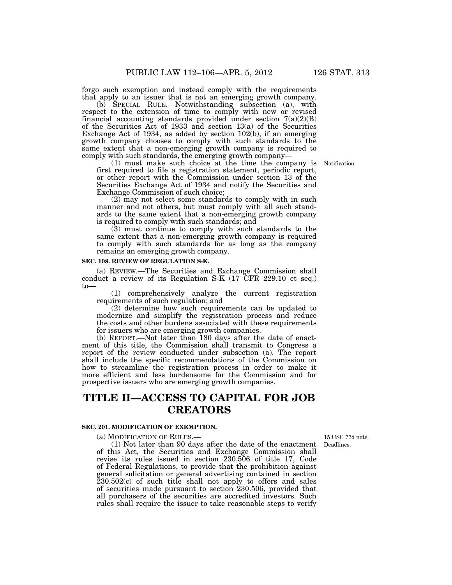forgo such exemption and instead comply with the requirements that apply to an issuer that is not an emerging growth company. (b) SPECIAL RULE.—Notwithstanding subsection (a), with

respect to the extension of time to comply with new or revised financial accounting standards provided under section  $7(a)(2)(B)$ of the Securities Act of 1933 and section 13(a) of the Securities Exchange Act of 1934, as added by section 102(b), if an emerging growth company chooses to comply with such standards to the same extent that a non-emerging growth company is required to comply with such standards, the emerging growth company-

Notification.

(1) must make such choice at the time the company is first required to file a registration statement, periodic report, or other report with the Commission under section 13 of the Securities Exchange Act of 1934 and notify the Securities and Exchange Commission of such choice;

(2) may not select some standards to comply with in such manner and not others, but must comply with all such standards to the same extent that a non-emerging growth company is required to comply with such standards; and

(3) must continue to comply with such standards to the same extent that a non-emerging growth company is required to comply with such standards for as long as the company remains an emerging growth company.

#### **SEC. 108. REVIEW OF REGULATION S-K.**

(a) REVIEW.—The Securities and Exchange Commission shall conduct a review of its Regulation S-K (17 CFR 229.10 et seq.) to—

(1) comprehensively analyze the current registration requirements of such regulation; and

(2) determine how such requirements can be updated to modernize and simplify the registration process and reduce the costs and other burdens associated with these requirements for issuers who are emerging growth companies.

(b) REPORT.—Not later than 180 days after the date of enactment of this title, the Commission shall transmit to Congress a report of the review conducted under subsection (a). The report shall include the specific recommendations of the Commission on how to streamline the registration process in order to make it more efficient and less burdensome for the Commission and for prospective issuers who are emerging growth companies.

### **TITLE II—ACCESS TO CAPITAL FOR JOB CREATORS**

### **SEC. 201. MODIFICATION OF EXEMPTION.**

(a) MODIFICATION OF RULES.—

(1) Not later than 90 days after the date of the enactment of this Act, the Securities and Exchange Commission shall revise its rules issued in section 230.506 of title 17, Code of Federal Regulations, to provide that the prohibition against general solicitation or general advertising contained in section 230.502(c) of such title shall not apply to offers and sales of securities made pursuant to section 230.506, provided that all purchasers of the securities are accredited investors. Such rules shall require the issuer to take reasonable steps to verify

Deadlines. 15 USC 77d note.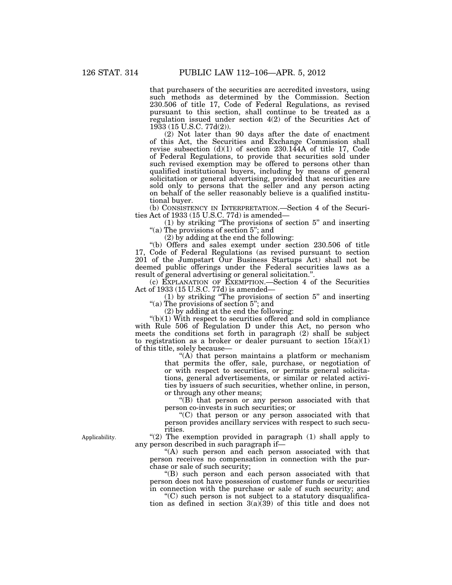that purchasers of the securities are accredited investors, using such methods as determined by the Commission. Section 230.506 of title 17, Code of Federal Regulations, as revised pursuant to this section, shall continue to be treated as a regulation issued under section 4(2) of the Securities Act of 1933 (15 U.S.C. 77d(2)).

(2) Not later than 90 days after the date of enactment of this Act, the Securities and Exchange Commission shall revise subsection  $(d)(1)$  of section 230.144A of title 17, Code of Federal Regulations, to provide that securities sold under such revised exemption may be offered to persons other than qualified institutional buyers, including by means of general solicitation or general advertising, provided that securities are sold only to persons that the seller and any person acting on behalf of the seller reasonably believe is a qualified institutional buyer.

(b) CONSISTENCY IN INTERPRETATION.—Section 4 of the Securities Act of 1933 (15 U.S.C. 77d) is amended—

(1) by striking ''The provisions of section 5'' and inserting ''(a) The provisions of section 5''; and

(2) by adding at the end the following:

''(b) Offers and sales exempt under section 230.506 of title 17, Code of Federal Regulations (as revised pursuant to section 201 of the Jumpstart Our Business Startups Act) shall not be deemed public offerings under the Federal securities laws as a result of general advertising or general solicitation.''.

(c) EXPLANATION OF EXEMPTION.—Section 4 of the Securities Act of 1933 (15 U.S.C. 77d) is amended—

(1) by striking ''The provisions of section 5'' and inserting "(a) The provisions of section 5"; and

(2) by adding at the end the following:

 $'(b)(1)$  With respect to securities offered and sold in compliance with Rule 506 of Regulation D under this Act, no person who meets the conditions set forth in paragraph (2) shall be subject to registration as a broker or dealer pursuant to section  $15(a)(1)$ of this title, solely because—

"(A) that person maintains a platform or mechanism that permits the offer, sale, purchase, or negotiation of or with respect to securities, or permits general solicitations, general advertisements, or similar or related activities by issuers of such securities, whether online, in person, or through any other means;

''(B) that person or any person associated with that person co-invests in such securities; or

''(C) that person or any person associated with that person provides ancillary services with respect to such securities.

" $(2)$  The exemption provided in paragraph  $(1)$  shall apply to any person described in such paragraph if—

"(A) such person and each person associated with that person receives no compensation in connection with the purchase or sale of such security;

''(B) such person and each person associated with that person does not have possession of customer funds or securities in connection with the purchase or sale of such security; and

 $(C)$  such person is not subject to a statutory disqualification as defined in section  $3(a)(39)$  of this title and does not

Applicability.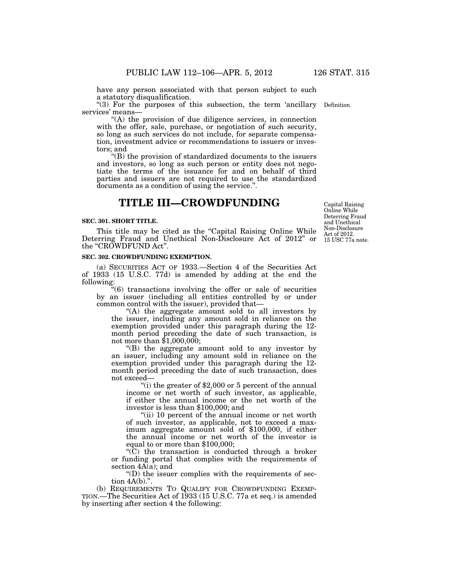have any person associated with that person subject to such a statutory disqualification.

"(3) For the purposes of this subsection, the term 'ancillary Definition. services' means—

''(A) the provision of due diligence services, in connection with the offer, sale, purchase, or negotiation of such security, so long as such services do not include, for separate compensation, investment advice or recommendations to issuers or investors; and

''(B) the provision of standardized documents to the issuers and investors, so long as such person or entity does not negotiate the terms of the issuance for and on behalf of third parties and issuers are not required to use the standardized documents as a condition of using the service.''.

### **TITLE III—CROWDFUNDING**

### **SEC. 301. SHORT TITLE.**

This title may be cited as the "Capital Raising Online While Deterring Fraud and Unethical Non-Disclosure Act of 2012'' or the "CROWDFUND Act".

#### **SEC. 302. CROWDFUNDING EXEMPTION.**

(a) SECURITIES ACT OF 1933.—Section 4 of the Securities Act of 1933 (15 U.S.C. 77d) is amended by adding at the end the following:

''(6) transactions involving the offer or sale of securities by an issuer (including all entities controlled by or under common control with the issuer), provided that—

"(A) the aggregate amount sold to all investors by the issuer, including any amount sold in reliance on the exemption provided under this paragraph during the 12 month period preceding the date of such transaction, is not more than \$1,000,000;

''(B) the aggregate amount sold to any investor by an issuer, including any amount sold in reliance on the exemption provided under this paragraph during the 12 month period preceding the date of such transaction, does not exceed—

"(i) the greater of  $$2,000$  or 5 percent of the annual income or net worth of such investor, as applicable, if either the annual income or the net worth of the investor is less than \$100,000; and

"(ii) 10 percent of the annual income or net worth" of such investor, as applicable, not to exceed a maximum aggregate amount sold of \$100,000, if either the annual income or net worth of the investor is equal to or more than \$100,000;

 $(C)$  the transaction is conducted through a broker or funding portal that complies with the requirements of section  $4A(a)$ ; and

 $\mathrm{``(D)}$  the issuer complies with the requirements of section  $4A(b)$ .".<br>(b) REQUIREMENTS TO QUALIFY FOR CROWDFUNDING EXEMP-

TION.—The Securities Act of 1933 (15 U.S.C. 77a et seq.) is amended by inserting after section 4 the following:

Capital Raising Online While Deterring Fraud and Unethical Non-Disclosure Act of 2012. 15 USC 77a note.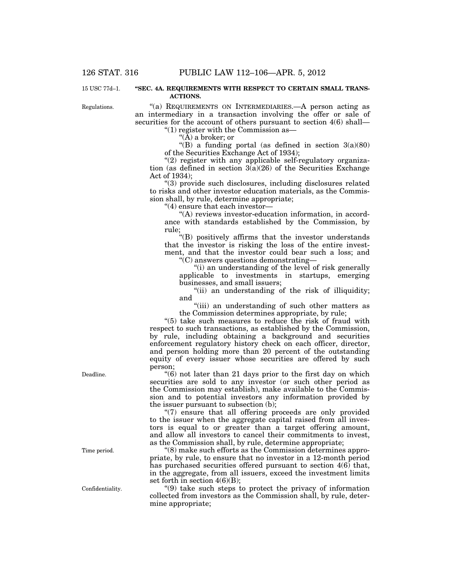15 USC 77d–1.

### **''SEC. 4A. REQUIREMENTS WITH RESPECT TO CERTAIN SMALL TRANS-ACTIONS.**

Regulations.

''(a) REQUIREMENTS ON INTERMEDIARIES.—A person acting as an intermediary in a transaction involving the offer or sale of securities for the account of others pursuant to section  $4(6)$  shall— ''(1) register with the Commission as—

''(A) a broker; or

"(B) a funding portal (as defined in section  $3(a)(80)$ of the Securities Exchange Act of 1934);

"(2) register with any applicable self-regulatory organization (as defined in section  $3\overline{a}(26)$  of the Securities Exchange Act of 1934);

''(3) provide such disclosures, including disclosures related to risks and other investor education materials, as the Commission shall, by rule, determine appropriate;

''(4) ensure that each investor—

"(A) reviews investor-education information, in accordance with standards established by the Commission, by rule;

''(B) positively affirms that the investor understands that the investor is risking the loss of the entire investment, and that the investor could bear such a loss; and ''(C) answers questions demonstrating—

"(i) an understanding of the level of risk generally applicable to investments in startups, emerging businesses, and small issuers;

"(ii) an understanding of the risk of illiquidity; and

''(iii) an understanding of such other matters as the Commission determines appropriate, by rule;

''(5) take such measures to reduce the risk of fraud with respect to such transactions, as established by the Commission, by rule, including obtaining a background and securities enforcement regulatory history check on each officer, director, and person holding more than 20 percent of the outstanding equity of every issuer whose securities are offered by such person;

 $(6)$  not later than 21 days prior to the first day on which securities are sold to any investor (or such other period as the Commission may establish), make available to the Commission and to potential investors any information provided by the issuer pursuant to subsection (b);

"(7) ensure that all offering proceeds are only provided to the issuer when the aggregate capital raised from all investors is equal to or greater than a target offering amount, and allow all investors to cancel their commitments to invest, as the Commission shall, by rule, determine appropriate;

''(8) make such efforts as the Commission determines appropriate, by rule, to ensure that no investor in a 12-month period has purchased securities offered pursuant to section 4(6) that, in the aggregate, from all issuers, exceed the investment limits set forth in section 4(6)(B);

''(9) take such steps to protect the privacy of information collected from investors as the Commission shall, by rule, determine appropriate;

Deadline.

Time period.

Confidentiality.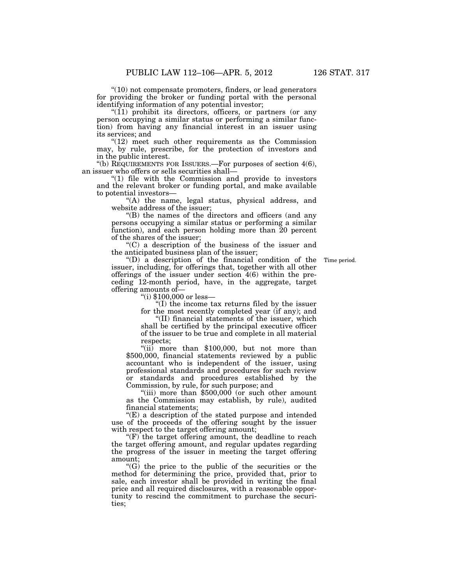''(10) not compensate promoters, finders, or lead generators for providing the broker or funding portal with the personal identifying information of any potential investor;

"(11) prohibit its directors, officers, or partners (or any person occupying a similar status or performing a similar function) from having any financial interest in an issuer using its services; and

 $"(12)$  meet such other requirements as the Commission may, by rule, prescribe, for the protection of investors and in the public interest.

"(b) REQUIREMENTS FOR ISSUERS.—For purposes of section  $4(6)$ , an issuer who offers or sells securities shall—

"(1) file with the Commission and provide to investors and the relevant broker or funding portal, and make available to potential investors—

''(A) the name, legal status, physical address, and website address of the issuer;

''(B) the names of the directors and officers (and any persons occupying a similar status or performing a similar function), and each person holding more than 20 percent of the shares of the issuer;

''(C) a description of the business of the issuer and the anticipated business plan of the issuer;

Time period.

" $(D)$  a description of the financial condition of the issuer, including, for offerings that, together with all other offerings of the issuer under section 4(6) within the preceding 12-month period, have, in the aggregate, target offering amounts of—

''(i) \$100,000 or less—

''(I) the income tax returns filed by the issuer for the most recently completed year (if any); and

''(II) financial statements of the issuer, which shall be certified by the principal executive officer of the issuer to be true and complete in all material respects;

"(ii) more than \$100,000, but not more than \$500,000, financial statements reviewed by a public accountant who is independent of the issuer, using professional standards and procedures for such review or standards and procedures established by the Commission, by rule, for such purpose; and

"(iii) more than \$500,000 (or such other amount as the Commission may establish, by rule), audited financial statements;

''(E) a description of the stated purpose and intended use of the proceeds of the offering sought by the issuer with respect to the target offering amount;

 $(F)$  the target offering amount, the deadline to reach the target offering amount, and regular updates regarding the progress of the issuer in meeting the target offering amount;

 $(G)$  the price to the public of the securities or the method for determining the price, provided that, prior to sale, each investor shall be provided in writing the final price and all required disclosures, with a reasonable opportunity to rescind the commitment to purchase the securities;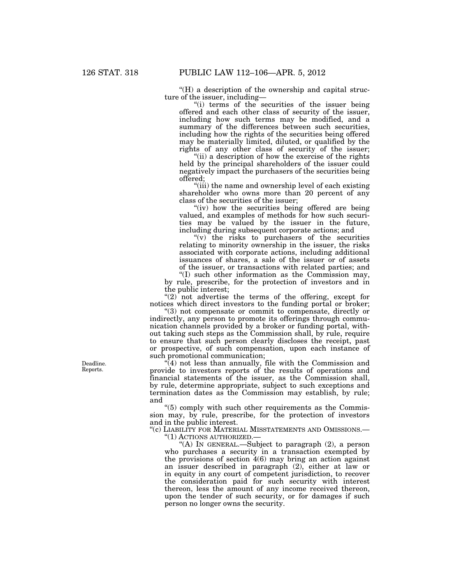$H$ ) a description of the ownership and capital structure of the issuer, including—

"(i) terms of the securities of the issuer being offered and each other class of security of the issuer, including how such terms may be modified, and a summary of the differences between such securities, including how the rights of the securities being offered may be materially limited, diluted, or qualified by the rights of any other class of security of the issuer;

"(ii) a description of how the exercise of the rights held by the principal shareholders of the issuer could negatively impact the purchasers of the securities being offered;

"(iii) the name and ownership level of each existing shareholder who owns more than 20 percent of any class of the securities of the issuer;

"(iv) how the securities being offered are being valued, and examples of methods for how such securities may be valued by the issuer in the future, including during subsequent corporate actions; and

" $(v)$ " the risks to purchasers of the securities relating to minority ownership in the issuer, the risks associated with corporate actions, including additional issuances of shares, a sale of the issuer or of assets of the issuer, or transactions with related parties; and

''(I) such other information as the Commission may, by rule, prescribe, for the protection of investors and in the public interest;

" $(2)$  not advertise the terms of the offering, except for notices which direct investors to the funding portal or broker;

''(3) not compensate or commit to compensate, directly or indirectly, any person to promote its offerings through communication channels provided by a broker or funding portal, without taking such steps as the Commission shall, by rule, require to ensure that such person clearly discloses the receipt, past or prospective, of such compensation, upon each instance of such promotional communication;

"(4) not less than annually, file with the Commission and provide to investors reports of the results of operations and financial statements of the issuer, as the Commission shall, by rule, determine appropriate, subject to such exceptions and termination dates as the Commission may establish, by rule; and

''(5) comply with such other requirements as the Commission may, by rule, prescribe, for the protection of investors and in the public interest.

''(c) LIABILITY FOR MATERIAL MISSTATEMENTS AND OMISSIONS.— ''(1) ACTIONS AUTHORIZED.—

''(A) IN GENERAL.—Subject to paragraph (2), a person who purchases a security in a transaction exempted by the provisions of section  $4(6)$  may bring an action against an issuer described in paragraph (2), either at law or in equity in any court of competent jurisdiction, to recover the consideration paid for such security with interest thereon, less the amount of any income received thereon, upon the tender of such security, or for damages if such person no longer owns the security.

Deadline. Reports.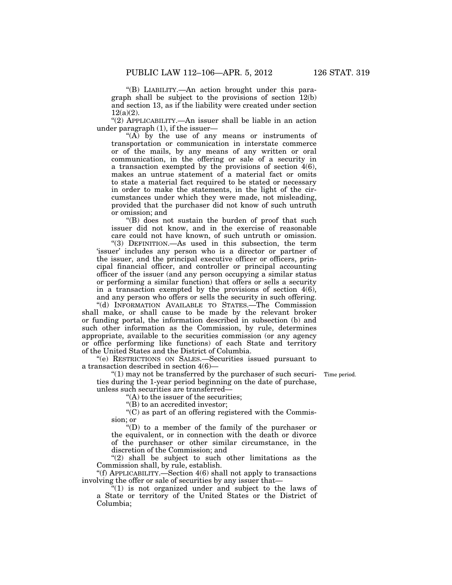''(B) LIABILITY.—An action brought under this paragraph shall be subject to the provisions of section 12(b) and section 13, as if the liability were created under section 12(a)(2).

"(2) APPLICABILITY.—An issuer shall be liable in an action under paragraph (1), if the issuer—

''(A) by the use of any means or instruments of transportation or communication in interstate commerce or of the mails, by any means of any written or oral communication, in the offering or sale of a security in a transaction exempted by the provisions of section 4(6), makes an untrue statement of a material fact or omits to state a material fact required to be stated or necessary in order to make the statements, in the light of the circumstances under which they were made, not misleading, provided that the purchaser did not know of such untruth or omission; and

''(B) does not sustain the burden of proof that such issuer did not know, and in the exercise of reasonable care could not have known, of such untruth or omission.

''(3) DEFINITION.—As used in this subsection, the term 'issuer' includes any person who is a director or partner of the issuer, and the principal executive officer or officers, principal financial officer, and controller or principal accounting officer of the issuer (and any person occupying a similar status or performing a similar function) that offers or sells a security in a transaction exempted by the provisions of section 4(6), and any person who offers or sells the security in such offering.

''(d) INFORMATION AVAILABLE TO STATES.—The Commission shall make, or shall cause to be made by the relevant broker or funding portal, the information described in subsection (b) and such other information as the Commission, by rule, determines appropriate, available to the securities commission (or any agency or office performing like functions) of each State and territory of the United States and the District of Columbia.

''(e) RESTRICTIONS ON SALES.—Securities issued pursuant to a transaction described in section 4(6)—

Time period.

 $''(1)$  may not be transferred by the purchaser of such securities during the 1-year period beginning on the date of purchase, unless such securities are transferred—

"(A) to the issuer of the securities;

''(B) to an accredited investor;

''(C) as part of an offering registered with the Commission; or

''(D) to a member of the family of the purchaser or the equivalent, or in connection with the death or divorce of the purchaser or other similar circumstance, in the discretion of the Commission; and

"(2) shall be subject to such other limitations as the Commission shall, by rule, establish.

''(f) APPLICABILITY.—Section 4(6) shall not apply to transactions involving the offer or sale of securities by any issuer that—

 $(1)$  is not organized under and subject to the laws of a State or territory of the United States or the District of Columbia;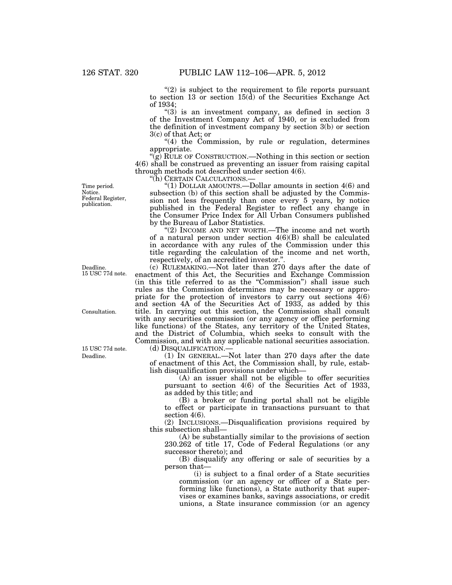$(2)$  is subject to the requirement to file reports pursuant to section 13 or section 15(d) of the Securities Exchange Act of 1934;

"(3) is an investment company, as defined in section 3 of the Investment Company Act of 1940, or is excluded from the definition of investment company by section 3(b) or section 3(c) of that Act; or

"(4) the Commission, by rule or regulation, determines appropriate.

''(g) RULE OF CONSTRUCTION.—Nothing in this section or section 4(6) shall be construed as preventing an issuer from raising capital through methods not described under section 4(6).<br>
"(h) CERTAIN CALCULATIONS.—

"(1) DOLLAR AMOUNTS.—  $Dollar$  amounts in section 4(6) and subsection (b) of this section shall be adjusted by the Commission not less frequently than once every 5 years, by notice published in the Federal Register to reflect any change in the Consumer Price Index for All Urban Consumers published by the Bureau of Labor Statistics.

"(2) INCOME AND NET WORTH.—The income and net worth of a natural person under section 4(6)(B) shall be calculated in accordance with any rules of the Commission under this title regarding the calculation of the income and net worth, respectively, of an accredited investor."

(c) RULEMAKING.—Not later than 270 days after the date of enactment of this Act, the Securities and Exchange Commission (in this title referred to as the ''Commission'') shall issue such rules as the Commission determines may be necessary or appropriate for the protection of investors to carry out sections 4(6) and section 4A of the Securities Act of 1933, as added by this title. In carrying out this section, the Commission shall consult with any securities commission (or any agency or office performing like functions) of the States, any territory of the United States, and the District of Columbia, which seeks to consult with the Commission, and with any applicable national securities association.

(d) DISQUALIFICATION.—

(1) IN GENERAL.—Not later than 270 days after the date of enactment of this Act, the Commission shall, by rule, establish disqualification provisions under which—

(A) an issuer shall not be eligible to offer securities pursuant to section 4(6) of the Securities Act of 1933, as added by this title; and

(B) a broker or funding portal shall not be eligible to effect or participate in transactions pursuant to that section  $4(6)$ .

(2) INCLUSIONS.—Disqualification provisions required by this subsection shall—

(A) be substantially similar to the provisions of section 230.262 of title 17, Code of Federal Regulations (or any successor thereto); and

(B) disqualify any offering or sale of securities by a person that—

(i) is subject to a final order of a State securities commission (or an agency or officer of a State performing like functions), a State authority that supervises or examines banks, savings associations, or credit unions, a State insurance commission (or an agency

Time period. Notice. Federal Register, publication.

Deadline. 15 USC 77d note.

Consultation.

Deadline. 15 USC 77d note.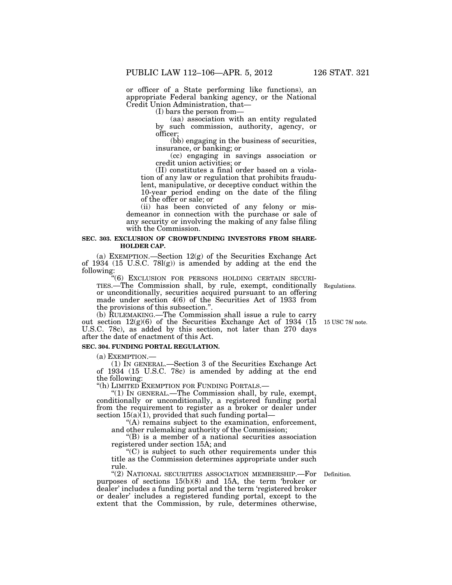or officer of a State performing like functions), an appropriate Federal banking agency, or the National Credit Union Administration, that—

(I) bars the person from—

(aa) association with an entity regulated by such commission, authority, agency, or officer;

(bb) engaging in the business of securities, insurance, or banking; or

(cc) engaging in savings association or credit union activities; or

(II) constitutes a final order based on a violation of any law or regulation that prohibits fraudulent, manipulative, or deceptive conduct within the 10-year period ending on the date of the filing of the offer or sale; or

(ii) has been convicted of any felony or misdemeanor in connection with the purchase or sale of any security or involving the making of any false filing with the Commission.

### **SEC. 303. EXCLUSION OF CROWDFUNDING INVESTORS FROM SHARE-HOLDER CAP.**

(a) EXEMPTION.—Section 12(g) of the Securities Exchange Act of 1934 (15 U.S.C. 78l(g)) is amended by adding at the end the following:

''(6) EXCLUSION FOR PERSONS HOLDING CERTAIN SECURI- TIES.—The Commission shall, by rule, exempt, conditionally or unconditionally, securities acquired pursuant to an offering made under section 4(6) of the Securities Act of 1933 from the provisions of this subsection.''. TIES.-The Commission shall, by rule, exempt, conditionally Regulations.

(b) RULEMAKING.—The Commission shall issue a rule to carry out section  $12(g)(6)$  of the Securities Exchange Act of 1934 (15 U.S.C. 78c), as added by this section, not later than 270 days after the date of enactment of this Act.

### **SEC. 304. FUNDING PORTAL REGULATION.**

(a) EXEMPTION.— (1) IN GENERAL.—Section 3 of the Securities Exchange Act of 1934 (15 U.S.C. 78c) is amended by adding at the end the following:<br>"(h) LIMITED EXEMPTION FOR FUNDING PORTALS.-

" $(1)$  In GENERAL.—The Commission shall, by rule, exempt, conditionally or unconditionally, a registered funding portal from the requirement to register as a broker or dealer under section  $15(a)$ (1), provided that such funding portal—

''(A) remains subject to the examination, enforcement, and other rulemaking authority of the Commission;

''(B) is a member of a national securities association registered under section 15A; and

''(C) is subject to such other requirements under this title as the Commission determines appropriate under such rule.

''(2) NATIONAL SECURITIES ASSOCIATION MEMBERSHIP.—For purposes of sections  $15(b)(8)$  and  $15A$ , the term 'broker or dealer' includes a funding portal and the term 'registered broker or dealer' includes a registered funding portal, except to the extent that the Commission, by rule, determines otherwise,

Definition.

15 USC 78*l* note.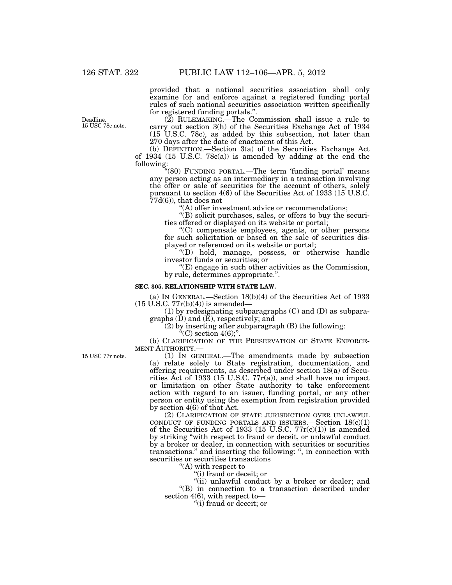Deadline. 15 USC 78c note. provided that a national securities association shall only examine for and enforce against a registered funding portal rules of such national securities association written specifically for registered funding portals.''.

(2) RULEMAKING.—The Commission shall issue a rule to carry out section 3(h) of the Securities Exchange Act of 1934 (15 U.S.C. 78c), as added by this subsection, not later than 270 days after the date of enactment of this Act.

(b) DEFINITION.—Section 3(a) of the Securities Exchange Act of 1934 (15 U.S.C. 78c(a)) is amended by adding at the end the following:

 $f'(80)$  FUNDING PORTAL.—The term 'funding portal' means any person acting as an intermediary in a transaction involving the offer or sale of securities for the account of others, solely pursuant to section 4(6) of the Securities Act of 1933 (15 U.S.C.  $77d(6)$ , that does not-

''(A) offer investment advice or recommendations;

''(B) solicit purchases, sales, or offers to buy the securities offered or displayed on its website or portal;

''(C) compensate employees, agents, or other persons for such solicitation or based on the sale of securities displayed or referenced on its website or portal;

''(D) hold, manage, possess, or otherwise handle investor funds or securities; or

 $E(E)$  engage in such other activities as the Commission, by rule, determines appropriate.''.

#### **SEC. 305. RELATIONSHIP WITH STATE LAW.**

(a) IN GENERAL.—Section 18(b)(4) of the Securities Act of 1933  $(15 \text{ U.S.C. } 77 \text{r(b)}(4))$  is amended—

(1) by redesignating subparagraphs (C) and (D) as subparagraphs  $(\check{D})$  and  $(\check{E})$ , respectively; and

(2) by inserting after subparagraph (B) the following:

 $E^{\alpha}(C)$  section 4(6);".

(b) CLARIFICATION OF THE PRESERVATION OF STATE ENFORCE- MENT AUTHORITY.—

15 USC 77r note.

(1) IN GENERAL.—The amendments made by subsection (a) relate solely to State registration, documentation, and offering requirements, as described under section 18(a) of Securities Act of 1933  $(15 \text{ U.S.C. } 77r(a))$ , and shall have no impact or limitation on other State authority to take enforcement action with regard to an issuer, funding portal, or any other person or entity using the exemption from registration provided by section 4(6) of that Act.

(2) CLARIFICATION OF STATE JURISDICTION OVER UNLAWFUL CONDUCT OF FUNDING PORTALS AND ISSUERS.—Section  $18(c)(1)$ of the Securities Act of 1933 (15 U.S.C. 77r(c)(1)) is amended by striking ''with respect to fraud or deceit, or unlawful conduct by a broker or dealer, in connection with securities or securities transactions.'' and inserting the following: '', in connection with securities or securities transactions

"(A) with respect to-

''(i) fraud or deceit; or

"(ii) unlawful conduct by a broker or dealer; and ''(B) in connection to a transaction described under section 4(6), with respect to—

''(i) fraud or deceit; or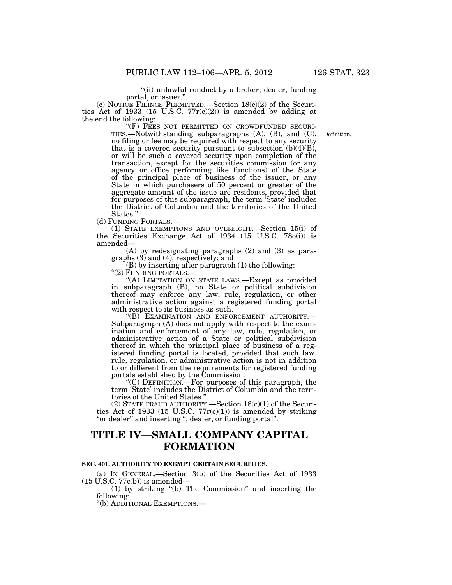''(ii) unlawful conduct by a broker, dealer, funding portal, or issuer.''.

(c) NOTICE FILINGS PERMITTED.—Section 18(c)(2) of the Securities Act of 1933 (15 U.S.C.  $77r(c)(2)$ ) is amended by adding at the end the following:<br>"(F) FEES NOT PERMITTED ON CROWDFUNDED SECURI-

TIES.—Notwithstanding subparagraphs  $(A)$ ,  $(B)$ , and  $(C)$ , no filing or fee may be required with respect to any security that is a covered security pursuant to subsection  $(b)(4)(B)$ , or will be such a covered security upon completion of the transaction, except for the securities commission (or any agency or office performing like functions) of the State of the principal place of business of the issuer, or any State in which purchasers of 50 percent or greater of the aggregate amount of the issue are residents, provided that for purposes of this subparagraph, the term 'State' includes the District of Columbia and the territories of the United

States.".<br>
(d) FUNDING PORTALS.—

 $(1)$  STATE EXEMPTIONS AND OVERSIGHT.—Section  $15(i)$  of the Securities Exchange Act of 1934 (15 U.S.C. 78o(i)) is amended—

(A) by redesignating paragraphs (2) and (3) as paragraphs (3) and (4), respectively; and

 $\left( \begin{array}{c} \infty \ \text{ (B) by inserting after paragraph (1) the following: } \ \text{``(2) FUNDING PORTALS.} \end{array} \right)$ 

"(A) LIMITATION ON STATE LAWS.—Except as provided in subparagraph (B), no State or political subdivision thereof may enforce any law, rule, regulation, or other administrative action against a registered funding portal with respect to its business as such.<br>"(B) EXAMINATION AND ENFORCEMENT AUTHORITY.—

''(B) EXAMINATION AND ENFORCEMENT AUTHORITY.— Subparagraph (A) does not apply with respect to the examination and enforcement of any law, rule, regulation, or administrative action of a State or political subdivision thereof in which the principal place of business of a registered funding portal is located, provided that such law, rule, regulation, or administrative action is not in addition to or different from the requirements for registered funding portals established by the Commission.

''(C) DEFINITION.—For purposes of this paragraph, the term 'State' includes the District of Columbia and the territories of the United States.''.

(2) STATE FRAUD AUTHORITY.—Section 18(c)(1) of the Securities Act of 1933 (15 U.S.C.  $77r(c)(1)$ ) is amended by striking ''or dealer'' and inserting '', dealer, or funding portal''.

# **TITLE IV—SMALL COMPANY CAPITAL FORMATION**

### **SEC. 401. AUTHORITY TO EXEMPT CERTAIN SECURITIES.**

(a) IN GENERAL.—Section 3(b) of the Securities Act of 1933  $(15 \text{ U.S.C. } 77c(b))$  is amended—

(1) by striking ''(b) The Commission'' and inserting the following:

''(b) ADDITIONAL EXEMPTIONS.—

Definition.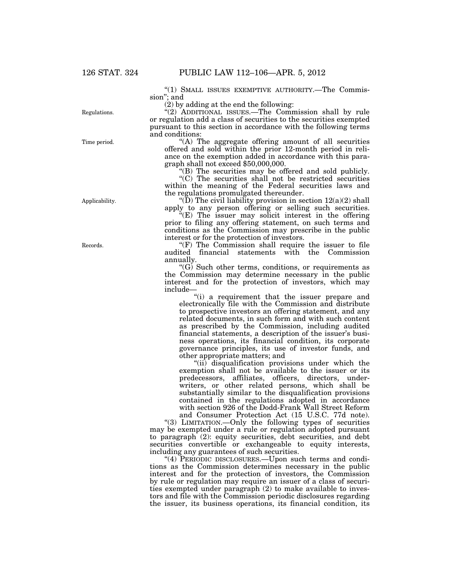"(1) SMALL ISSUES EXEMPTIVE AUTHORITY.—The Commission''; and

(2) by adding at the end the following:

"(2) ADDITIONAL ISSUES.—The Commission shall by rule or regulation add a class of securities to the securities exempted pursuant to this section in accordance with the following terms and conditions:

"(A) The aggregate offering amount of all securities offered and sold within the prior 12-month period in reliance on the exemption added in accordance with this paragraph shall not exceed \$50,000,000.

''(B) The securities may be offered and sold publicly.

"(C) The securities shall not be restricted securities within the meaning of the Federal securities laws and the regulations promulgated thereunder.

"(D) The civil liability provision in section  $12(a)(2)$  shall apply to any person offering or selling such securities.

''(E) The issuer may solicit interest in the offering prior to filing any offering statement, on such terms and conditions as the Commission may prescribe in the public interest or for the protection of investors.

 $f(F)$  The Commission shall require the issuer to file audited financial statements with the Commission annually.

''(G) Such other terms, conditions, or requirements as the Commission may determine necessary in the public interest and for the protection of investors, which may include—

''(i) a requirement that the issuer prepare and electronically file with the Commission and distribute to prospective investors an offering statement, and any related documents, in such form and with such content as prescribed by the Commission, including audited financial statements, a description of the issuer's business operations, its financial condition, its corporate governance principles, its use of investor funds, and other appropriate matters; and

"(ii) disqualification provisions under which the exemption shall not be available to the issuer or its predecessors, affiliates, officers, directors, underwriters, or other related persons, which shall be substantially similar to the disqualification provisions contained in the regulations adopted in accordance with section 926 of the Dodd-Frank Wall Street Reform and Consumer Protection Act (15 U.S.C. 77d note).

"(3) LIMITATION.—Only the following types of securities may be exempted under a rule or regulation adopted pursuant to paragraph (2): equity securities, debt securities, and debt securities convertible or exchangeable to equity interests, including any guarantees of such securities.

"(4) PERIODIC DISCLOSURES.—Upon such terms and conditions as the Commission determines necessary in the public interest and for the protection of investors, the Commission by rule or regulation may require an issuer of a class of securities exempted under paragraph (2) to make available to investors and file with the Commission periodic disclosures regarding the issuer, its business operations, its financial condition, its

Regulations.

Time period.

Applicability.

Records.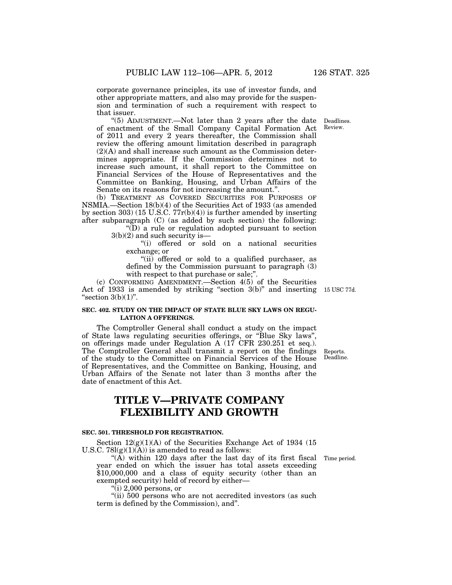corporate governance principles, its use of investor funds, and other appropriate matters, and also may provide for the suspension and termination of such a requirement with respect to that issuer.

''(5) ADJUSTMENT.—Not later than 2 years after the date of enactment of the Small Company Capital Formation Act of 2011 and every 2 years thereafter, the Commission shall review the offering amount limitation described in paragraph (2)(A) and shall increase such amount as the Commission determines appropriate. If the Commission determines not to increase such amount, it shall report to the Committee on Financial Services of the House of Representatives and the Committee on Banking, Housing, and Urban Affairs of the Senate on its reasons for not increasing the amount.''.

(b) TREATMENT AS COVERED SECURITIES FOR PURPOSES OF NSMIA.—Section 18(b)(4) of the Securities Act of 1933 (as amended by section 303) (15 U.S.C. 77r(b)(4)) is further amended by inserting after subparagraph (C) (as added by such section) the following:

''(D) a rule or regulation adopted pursuant to section  $3(b)(2)$  and such security is—

''(i) offered or sold on a national securities exchange; or

''(ii) offered or sold to a qualified purchaser, as defined by the Commission pursuant to paragraph (3) with respect to that purchase or sale;".

(c) CONFORMING AMENDMENT.—Section 4(5) of the Securities Act of 1933 is amended by striking "section 3(b)" and inserting 15 USC 77d. "section  $3(b)(1)$ ".

### **SEC. 402. STUDY ON THE IMPACT OF STATE BLUE SKY LAWS ON REGU-LATION A OFFERINGS.**

The Comptroller General shall conduct a study on the impact of State laws regulating securities offerings, or ''Blue Sky laws'', on offerings made under Regulation A (17 CFR 230.251 et seq.). The Comptroller General shall transmit a report on the findings of the study to the Committee on Financial Services of the House of Representatives, and the Committee on Banking, Housing, and Urban Affairs of the Senate not later than 3 months after the date of enactment of this Act.

## **TITLE V—PRIVATE COMPANY FLEXIBILITY AND GROWTH**

### **SEC. 501. THRESHOLD FOR REGISTRATION.**

Section  $12(g)(1)(A)$  of the Securities Exchange Act of 1934 (15 U.S.C.  $78l(g)(1)(A)$  is amended to read as follows:

"(A) within 120 days after the last day of its first fiscal Time period. year ended on which the issuer has total assets exceeding \$10,000,000 and a class of equity security (other than an exempted security) held of record by either—

 $\degree$ (i) 2,000 persons, or

"(ii) 500 persons who are not accredited investors (as such term is defined by the Commission), and''.

Reports. Deadline.

Deadlines. Review.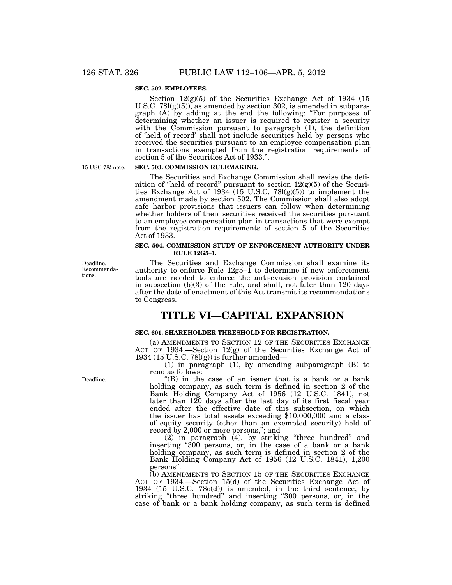### **SEC. 502. EMPLOYEES.**

Section  $12(g)(5)$  of the Securities Exchange Act of 1934 (15 U.S.C.  $78l(g)(5)$ , as amended by section 302, is amended in subparagraph (A) by adding at the end the following: ''For purposes of determining whether an issuer is required to register a security with the Commission pursuant to paragraph  $(1)$ , the definition of 'held of record' shall not include securities held by persons who received the securities pursuant to an employee compensation plan in transactions exempted from the registration requirements of section 5 of the Securities Act of 1933.''.

15 USC 78*l* note.

### **SEC. 503. COMMISSION RULEMAKING.**

The Securities and Exchange Commission shall revise the definition of "held of record" pursuant to section  $12(g)(5)$  of the Securities Exchange Act of 1934 (15 U.S.C. 78l(g)(5)) to implement the amendment made by section 502. The Commission shall also adopt safe harbor provisions that issuers can follow when determining whether holders of their securities received the securities pursuant to an employee compensation plan in transactions that were exempt from the registration requirements of section 5 of the Securities Act of 1933.

### **SEC. 504. COMMISSION STUDY OF ENFORCEMENT AUTHORITY UNDER RULE 12G5–1.**

The Securities and Exchange Commission shall examine its authority to enforce Rule  $12g5-\overline{1}$  to determine if new enforcement tools are needed to enforce the anti-evasion provision contained in subsection (b)(3) of the rule, and shall, not later than 120 days after the date of enactment of this Act transmit its recommendations to Congress.

### **TITLE VI—CAPITAL EXPANSION**

### **SEC. 601. SHAREHOLDER THRESHOLD FOR REGISTRATION.**

(a) AMENDMENTS TO SECTION 12 OF THE SECURITIES EXCHANGE ACT OF 1934.—Section 12(g) of the Securities Exchange Act of 1934 (15 U.S.C. 78l(g)) is further amended—

(1) in paragraph (1), by amending subparagraph (B) to read as follows:

''(B) in the case of an issuer that is a bank or a bank holding company, as such term is defined in section 2 of the Bank Holding Company Act of 1956 (12 U.S.C. 1841), not later than 120 days after the last day of its first fiscal year ended after the effective date of this subsection, on which the issuer has total assets exceeding \$10,000,000 and a class of equity security (other than an exempted security) held of record by 2,000 or more persons,''; and

(2) in paragraph (4), by striking ''three hundred'' and inserting ''300 persons, or, in the case of a bank or a bank holding company, as such term is defined in section 2 of the Bank Holding Company Act of 1956 (12 U.S.C. 1841), 1,200 persons''.

(b) AMENDMENTS TO SECTION 15 OF THE SECURITIES EXCHANGE ACT OF 1934.—Section 15(d) of the Securities Exchange Act of 1934 (15 U.S.C. 78o(d)) is amended, in the third sentence, by striking ''three hundred'' and inserting ''300 persons, or, in the case of bank or a bank holding company, as such term is defined

Deadline. Recommendations.

Deadline.